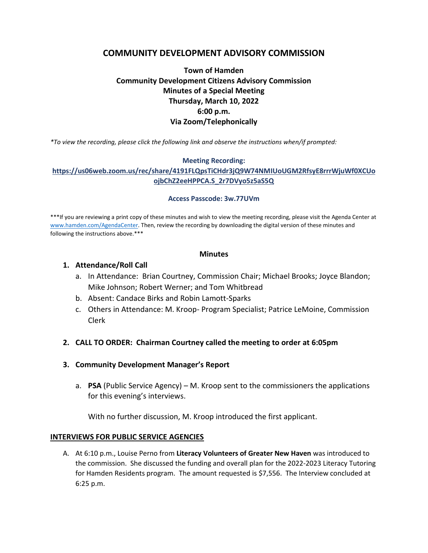# **COMMUNITY DEVELOPMENT ADVISORY COMMISSION**

# **Town of Hamden Community Development Citizens Advisory Commission Minutes of a Special Meeting Thursday, March 10, 2022 6:00 p.m. Via Zoom/Telephonically**

*\*To view the recording, please click the following link and observe the instructions when/if prompted:* 

## **Meeting Recording:**

# **[https://us06web.zoom.us/rec/share/4191FLQpsTiCHdr3jQ9W74NMIUoUGM2RfsyE8rrrWjuWf0XCUo](https://us06web.zoom.us/rec/share/4191FLQpsTiCHdr3jQ9W74NMIUoUGM2RfsyE8rrrWjuWf0XCUoojbChZ2eeHPPCA.S_2r7DVyo5z5aS5Q) [ojbChZ2eeHPPCA.S\\_2r7DVyo5z5aS5Q](https://us06web.zoom.us/rec/share/4191FLQpsTiCHdr3jQ9W74NMIUoUGM2RfsyE8rrrWjuWf0XCUoojbChZ2eeHPPCA.S_2r7DVyo5z5aS5Q)**

#### **Access Passcode: 3w.77UVm**

\*\*\*If you are reviewing a print copy of these minutes and wish to view the meeting recording, please visit the Agenda Center at [www.hamden.com/AgendaCenter.](http://www.hamden.com/AgendaCenter) Then, review the recording by downloading the digital version of these minutes and following the instructions above.\*\*\*

#### **Minutes**

## **1. Attendance/Roll Call**

- a. In Attendance: Brian Courtney, Commission Chair; Michael Brooks; Joyce Blandon; Mike Johnson; Robert Werner; and Tom Whitbread
- b. Absent: Candace Birks and Robin Lamott-Sparks
- c. Others in Attendance: M. Kroop- Program Specialist; Patrice LeMoine, Commission Clerk

# **2. CALL TO ORDER: Chairman Courtney called the meeting to order at 6:05pm**

# **3. Community Development Manager's Report**

a. **PSA** (Public Service Agency) – M. Kroop sent to the commissioners the applications for this evening's interviews.

With no further discussion, M. Kroop introduced the first applicant.

## **INTERVIEWS FOR PUBLIC SERVICE AGENCIES**

A. At 6:10 p.m., Louise Perno from **Literacy Volunteers of Greater New Haven** was introduced to the commission. She discussed the funding and overall plan for the 2022-2023 Literacy Tutoring for Hamden Residents program. The amount requested is \$7,556. The Interview concluded at 6:25 p.m.